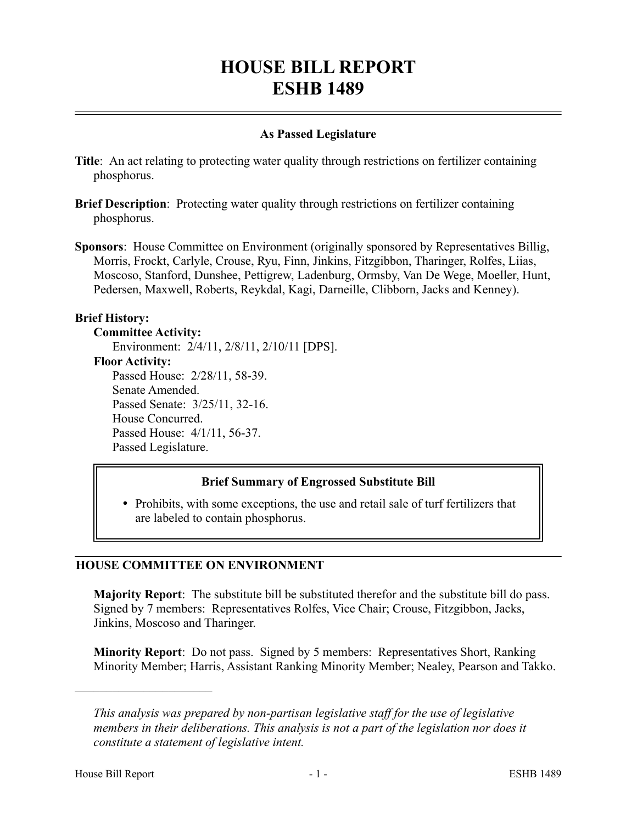# **HOUSE BILL REPORT ESHB 1489**

## **As Passed Legislature**

- **Title**: An act relating to protecting water quality through restrictions on fertilizer containing phosphorus.
- **Brief Description**: Protecting water quality through restrictions on fertilizer containing phosphorus.
- **Sponsors**: House Committee on Environment (originally sponsored by Representatives Billig, Morris, Frockt, Carlyle, Crouse, Ryu, Finn, Jinkins, Fitzgibbon, Tharinger, Rolfes, Liias, Moscoso, Stanford, Dunshee, Pettigrew, Ladenburg, Ormsby, Van De Wege, Moeller, Hunt, Pedersen, Maxwell, Roberts, Reykdal, Kagi, Darneille, Clibborn, Jacks and Kenney).

## **Brief History:**

#### **Committee Activity:**

Environment: 2/4/11, 2/8/11, 2/10/11 [DPS]. **Floor Activity:** Passed House: 2/28/11, 58-39. Senate Amended. Passed Senate: 3/25/11, 32-16. House Concurred. Passed House: 4/1/11, 56-37. Passed Legislature.

## **Brief Summary of Engrossed Substitute Bill**

• Prohibits, with some exceptions, the use and retail sale of turf fertilizers that are labeled to contain phosphorus.

## **HOUSE COMMITTEE ON ENVIRONMENT**

**Majority Report**: The substitute bill be substituted therefor and the substitute bill do pass. Signed by 7 members: Representatives Rolfes, Vice Chair; Crouse, Fitzgibbon, Jacks, Jinkins, Moscoso and Tharinger.

**Minority Report**: Do not pass. Signed by 5 members: Representatives Short, Ranking Minority Member; Harris, Assistant Ranking Minority Member; Nealey, Pearson and Takko.

––––––––––––––––––––––

*This analysis was prepared by non-partisan legislative staff for the use of legislative members in their deliberations. This analysis is not a part of the legislation nor does it constitute a statement of legislative intent.*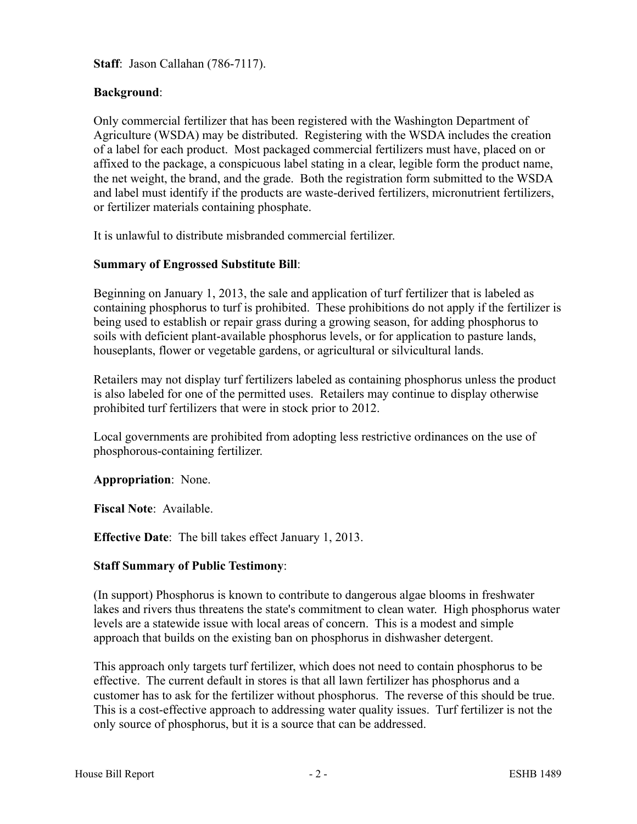**Staff**: Jason Callahan (786-7117).

## **Background**:

Only commercial fertilizer that has been registered with the Washington Department of Agriculture (WSDA) may be distributed. Registering with the WSDA includes the creation of a label for each product. Most packaged commercial fertilizers must have, placed on or affixed to the package, a conspicuous label stating in a clear, legible form the product name, the net weight, the brand, and the grade. Both the registration form submitted to the WSDA and label must identify if the products are waste-derived fertilizers, micronutrient fertilizers, or fertilizer materials containing phosphate.

It is unlawful to distribute misbranded commercial fertilizer.

#### **Summary of Engrossed Substitute Bill**:

Beginning on January 1, 2013, the sale and application of turf fertilizer that is labeled as containing phosphorus to turf is prohibited. These prohibitions do not apply if the fertilizer is being used to establish or repair grass during a growing season, for adding phosphorus to soils with deficient plant-available phosphorus levels, or for application to pasture lands, houseplants, flower or vegetable gardens, or agricultural or silvicultural lands.

Retailers may not display turf fertilizers labeled as containing phosphorus unless the product is also labeled for one of the permitted uses. Retailers may continue to display otherwise prohibited turf fertilizers that were in stock prior to 2012.

Local governments are prohibited from adopting less restrictive ordinances on the use of phosphorous-containing fertilizer.

**Appropriation**: None.

**Fiscal Note**: Available.

**Effective Date**: The bill takes effect January 1, 2013.

#### **Staff Summary of Public Testimony**:

(In support) Phosphorus is known to contribute to dangerous algae blooms in freshwater lakes and rivers thus threatens the state's commitment to clean water. High phosphorus water levels are a statewide issue with local areas of concern. This is a modest and simple approach that builds on the existing ban on phosphorus in dishwasher detergent.

This approach only targets turf fertilizer, which does not need to contain phosphorus to be effective. The current default in stores is that all lawn fertilizer has phosphorus and a customer has to ask for the fertilizer without phosphorus. The reverse of this should be true. This is a cost-effective approach to addressing water quality issues. Turf fertilizer is not the only source of phosphorus, but it is a source that can be addressed.